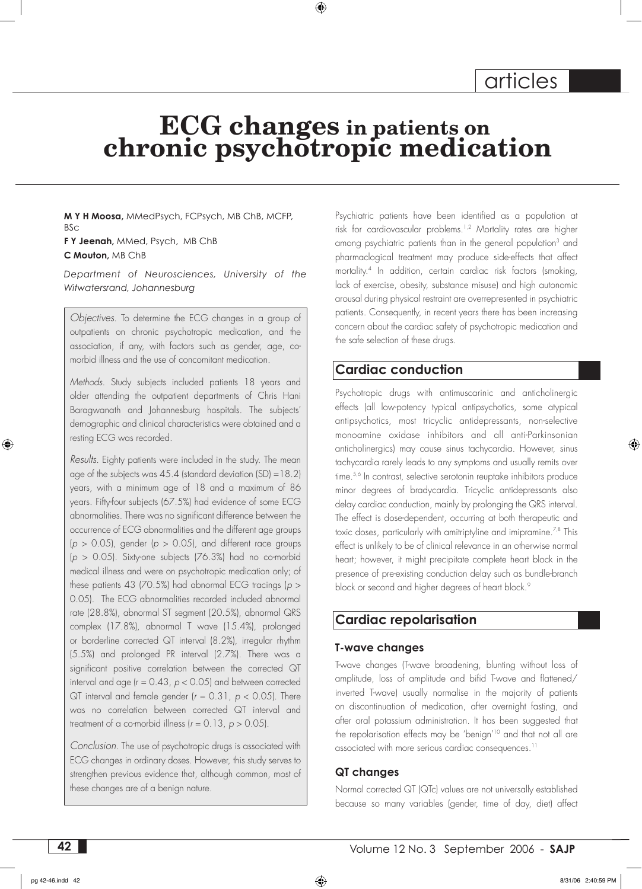# **ECG changes in patients on chronic psychotropic medication**

**M Y H Moosa,** MMedPsych, FCPsych, MB ChB, MCFP, BSc **F Y Jeenah,** MMed, Psych, MB ChB **C Mouton,** MB ChB

*Department of Neurosciences, University of the Witwatersrand, Johannesburg*

*Objectives*. To determine the ECG changes in a group of outpatients on chronic psychotropic medication, and the association, if any, with factors such as gender, age, comorbid illness and the use of concomitant medication.

*Methods*. Study subjects included patients 18 years and older attending the outpatient departments of Chris Hani Baragwanath and Johannesburg hospitals. The subjects' demographic and clinical characteristics were obtained and a resting ECG was recorded.

*Results*. Eighty patients were included in the study. The mean age of the subjects was  $45.4$  (standard deviation  $(SD) = 18.2$ ) years, with a minimum age of 18 and a maximum of 86 years. Fifty-four subjects (67.5%) had evidence of some ECG abnormalities. There was no significant difference between the occurrence of ECG abnormalities and the different age groups (*p* > 0.05), gender (*p* > 0.05), and different race groups (*p* > 0.05). Sixty-one subjects (76.3%) had no co-morbid medical illness and were on psychotropic medication only; of these patients 43 (70.5%) had abnormal ECG tracings (*p* > 0.05). The ECG abnormalities recorded included abnormal rate (28.8%), abnormal ST segment (20.5%), abnormal QRS complex (17.8%), abnormal T wave (15.4%), prolonged or borderline corrected QT interval (8.2%), irregular rhythm (5.5%) and prolonged PR interval (2.7%). There was a significant positive correlation between the corrected QT interval and age  $(r = 0.43, p < 0.05)$  and between corrected QT interval and female gender (*r* = 0.31, *p* < 0.05). There was no correlation between corrected QT interval and treatment of a co-morbid illness  $(r = 0.13, p > 0.05)$ .

*Conclusion.* The use of psychotropic drugs is associated with ECG changes in ordinary doses. However, this study serves to strengthen previous evidence that, although common, most of these changes are of a benign nature.

Psychiatric patients have been identified as a population at risk for cardiovascular problems.<sup>1,2</sup> Mortality rates are higher among psychiatric patients than in the general population<sup>3</sup> and pharmaclogical treatment may produce side-effects that affect mortality.4 In addition, certain cardiac risk factors (smoking, lack of exercise, obesity, substance misuse) and high autonomic arousal during physical restraint are overrepresented in psychiatric patients. Consequently, in recent years there has been increasing concern about the cardiac safety of psychotropic medication and the safe selection of these drugs.

## **Cardiac conduction**

Psychotropic drugs with antimuscarinic and anticholinergic effects (all low-potency typical antipsychotics, some atypical antipsychotics, most tricyclic antidepressants, non-selective monoamine oxidase inhibitors and all anti-Parkinsonian anticholinergics) may cause sinus tachycardia. However, sinus tachycardia rarely leads to any symptoms and usually remits over time.<sup>5,6</sup> In contrast, selective serotonin reuptake inhibitors produce minor degrees of bradycardia. Tricyclic antidepressants also delay cardiac conduction, mainly by prolonging the QRS interval. The effect is dose-dependent, occurring at both therapeutic and toxic doses, particularly with amitriptyline and imipramine.<sup>7,8</sup> This effect is unlikely to be of clinical relevance in an otherwise normal heart; however, it might precipitate complete heart block in the presence of pre-existing conduction delay such as bundle-branch block or second and higher degrees of heart block.<sup>9</sup>

# **Cardiac repolarisation**

#### **T-wave changes**

T-wave changes (T-wave broadening, blunting without loss of amplitude, loss of amplitude and bifid T-wave and flattened/ inverted T-wave) usually normalise in the majority of patients on discontinuation of medication, after overnight fasting, and after oral potassium administration. It has been suggested that the repolarisation effects may be 'benign'10 and that not all are associated with more serious cardiac consequences.<sup>11</sup>

#### **QT changes**

Normal corrected QT (QTc) values are not universally established because so many variables (gender, time of day, diet) affect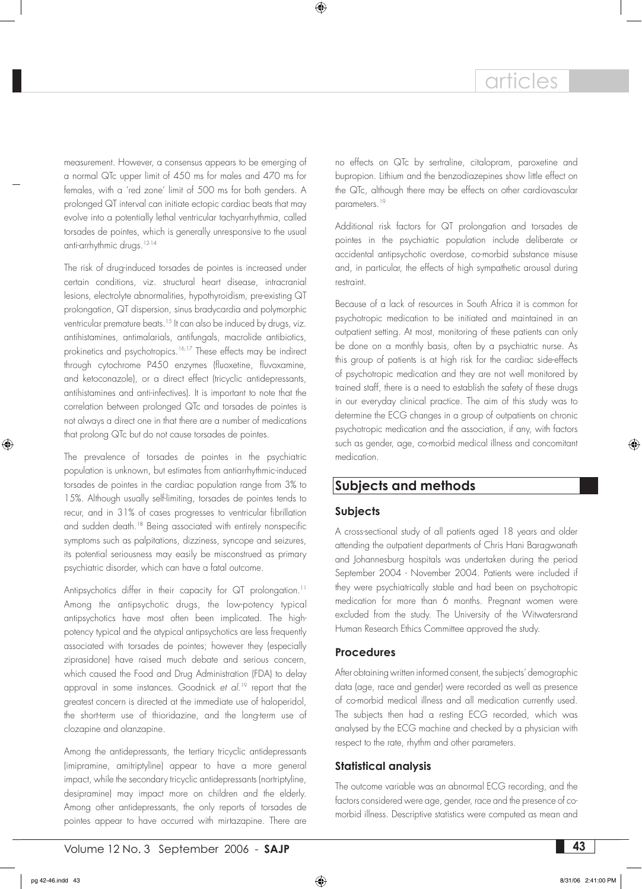measurement. However, a consensus appears to be emerging of a normal QTc upper limit of 450 ms for males and 470 ms for females, with a 'red zone' limit of 500 ms for both genders. A prolonged QT interval can initiate ectopic cardiac beats that may evolve into a potentially lethal ventricular tachyarrhythmia, called torsades de pointes, which is generally unresponsive to the usual anti-arrhythmic drugs.<sup>12-14</sup>

The risk of drug-induced torsades de pointes is increased under certain conditions, viz. structural heart disease, intracranial lesions, electrolyte abnormalities, hypothyroidism, pre-existing QT prolongation, QT dispersion, sinus bradycardia and polymorphic ventricular premature beats.15 It can also be induced by drugs, viz. antihistamines, antimalarials, antifungals, macrolide antibiotics, prokinetics and psychotropics.<sup>16,17</sup> These effects may be indirect through cytochrome P450 enzymes (fluoxetine, fluvoxamine, and ketoconazole), or a direct effect (tricyclic antidepressants, antihistamines and anti-infectives). It is important to note that the correlation between prolonged QTc and torsades de pointes is not always a direct one in that there are a number of medications that prolong QTc but do not cause torsades de pointes.

The prevalence of torsades de pointes in the psychiatric population is unknown, but estimates from antiarrhythmic-induced torsades de pointes in the cardiac population range from 3% to 15%. Although usually self-limiting, torsades de pointes tends to recur, and in 31% of cases progresses to ventricular fibrillation and sudden death.<sup>18</sup> Being associated with entirely nonspecific symptoms such as palpitations, dizziness, syncope and seizures, its potential seriousness may easily be misconstrued as primary psychiatric disorder, which can have a fatal outcome.

Antipsychotics differ in their capacity for QT prolongation.<sup>11</sup> Among the antipsychotic drugs, the low-potency typical antipsychotics have most often been implicated. The highpotency typical and the atypical antipsychotics are less frequently associated with torsades de pointes; however they (especially ziprasidone) have raised much debate and serious concern, which caused the Food and Drug Administration (FDA) to delay approval in some instances. Goodnick *et al*. 19 report that the greatest concern is directed at the immediate use of haloperidol, the short-term use of thioridazine, and the long-term use of clozapine and olanzapine.

Among the antidepressants, the tertiary tricyclic antidepressants (imipramine, amitriptyline) appear to have a more general impact, while the secondary tricyclic antidepressants (nortriptyline, desipramine) may impact more on children and the elderly. Among other antidepressants, the only reports of torsades de pointes appear to have occurred with mirtazapine. There are

no effects on QTc by sertraline, citalopram, paroxetine and bupropion. Lithium and the benzodiazepines show little effect on the QTc, although there may be effects on other cardiovascular parameters.19

Additional risk factors for QT prolongation and torsades de pointes in the psychiatric population include deliberate or accidental antipsychotic overdose, co-morbid substance misuse and, in particular, the effects of high sympathetic arousal during restraint.

Because of a lack of resources in South Africa it is common for psychotropic medication to be initiated and maintained in an outpatient setting. At most, monitoring of these patients can only be done on a monthly basis, often by a psychiatric nurse. As this group of patients is at high risk for the cardiac side-effects of psychotropic medication and they are not well monitored by trained staff, there is a need to establish the safety of these drugs in our everyday clinical practice. The aim of this study was to determine the ECG changes in a group of outpatients on chronic psychotropic medication and the association, if any, with factors such as gender, age, co-morbid medical illness and concomitant medication.

# **Subjects and methods**

## **Subjects**

A cross-sectional study of all patients aged 18 years and older attending the outpatient departments of Chris Hani Baragwanath and Johannesburg hospitals was undertaken during the period September 2004 - November 2004. Patients were included if they were psychiatrically stable and had been on psychotropic medication for more than 6 months. Pregnant women were excluded from the study. The University of the Witwatersrand Human Research Ethics Committee approved the study.

#### **Procedures**

After obtaining written informed consent, the subjects' demographic data (age, race and gender) were recorded as well as presence of co-morbid medical illness and all medication currently used. The subjects then had a resting ECG recorded, which was analysed by the ECG machine and checked by a physician with respect to the rate, rhythm and other parameters.

#### **Statistical analysis**

The outcome variable was an abnormal ECG recording, and the factors considered were age, gender, race and the presence of comorbid illness. Descriptive statistics were computed as mean and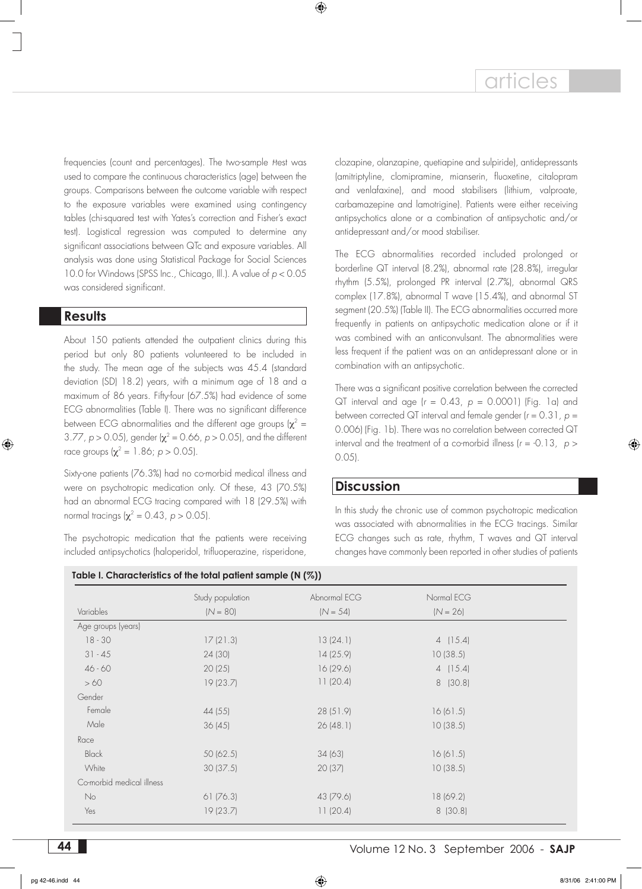frequencies (count and percentages). The two-sample *t*-test was used to compare the continuous characteristics (age) between the groups. Comparisons between the outcome variable with respect to the exposure variables were examined using contingency tables (chi-squared test with Yates's correction and Fisher's exact test). Logistical regression was computed to determine any significant associations between QTc and exposure variables. All analysis was done using Statistical Package for Social Sciences 10.0 for Windows (SPSS Inc., Chicago, Ill.). A value of *p* < 0.05 was considered significant.

#### **Results**

About 150 patients attended the outpatient clinics during this period but only 80 patients volunteered to be included in the study. The mean age of the subjects was 45.4 (standard deviation (SD) 18.2) years, with a minimum age of 18 and a maximum of 86 years. Fifty-four (67.5%) had evidence of some ECG abnormalities (Table I). There was no significant difference between ECG abnormalities and the different age groups ( $\chi^2$  = 3.77,  $p > 0.05$ , gender ( $\chi^2 = 0.66$ ,  $p > 0.05$ ), and the different race groups  $\chi^2 = 1.86$ ;  $p > 0.05$ ).

Sixty-one patients (76.3%) had no co-morbid medical illness and were on psychotropic medication only. Of these, 43 (70.5%) had an abnormal ECG tracing compared with 18 (29.5%) with normal tracings ( $\chi^2$  = 0.43, *p* > 0.05).

The psychotropic medication that the patients were receiving included antipsychotics (haloperidol, trifluoperazine, risperidone,

 **Table I. Characteristics of the total patient sample (N (%))**

clozapine, olanzapine, quetiapine and sulpiride), antidepressants (amitriptyline, clomipramine, mianserin, fluoxetine, citalopram and venlafaxine), and mood stabilisers (lithium, valproate, carbamazepine and lamotrigine). Patients were either receiving antipsychotics alone or a combination of antipsychotic and/or antidepressant and/or mood stabiliser.

The ECG abnormalities recorded included prolonged or borderline QT interval (8.2%), abnormal rate (28.8%), irregular rhythm (5.5%), prolonged PR interval (2.7%), abnormal QRS complex (17.8%), abnormal T wave (15.4%), and abnormal ST segment (20.5%) (Table II). The ECG abnormalities occurred more frequently in patients on antipsychotic medication alone or if it was combined with an anticonvulsant. The abnormalities were less frequent if the patient was on an antidepressant alone or in combination with an antipsychotic.

There was a significant positive correlation between the corrected QT interval and age (*r* = 0.43, *p* = 0.0001) (Fig. 1a) and between corrected QT interval and female gender  $(r = 0.31, p =$ 0.006) (Fig. 1b). There was no correlation between corrected QT interval and the treatment of a co-morbid illness  $(r = -0.13, p >$ 0.05).

#### **Discussion**

In this study the chronic use of common psychotropic medication was associated with abnormalities in the ECG tracings. Similar ECG changes such as rate, rhythm, T waves and QT interval changes have commonly been reported in other studies of patients

|                           | Study population | Abnormal ECG | Normal ECG |  |
|---------------------------|------------------|--------------|------------|--|
| Variables                 | $(N = 80)$       | $(N = 54)$   | $(N = 26)$ |  |
| Age groups (years)        |                  |              |            |  |
| $18 - 30$                 | 17(21.3)         | 13(24.1)     | 4(15.4)    |  |
| $31 - 45$                 | 24(30)           | 14(25.9)     | 10(38.5)   |  |
| $46 - 60$                 | 20(25)           | 16 (29.6)    | $4$ (15.4) |  |
| >60                       | 19 (23.7)        | 11(20.4)     | 8 (30.8)   |  |
| Gender                    |                  |              |            |  |
| Female                    | 44 (55)          | 28 (51.9)    | 16(61.5)   |  |
| Male                      | 36(45)           | 26(48.1)     | 10(38.5)   |  |
| Race                      |                  |              |            |  |
| <b>Black</b>              | 50(62.5)         | 34(63)       | 16(61.5)   |  |
| White                     | 30(37.5)         | 20(37)       | 10(38.5)   |  |
| Co-morbid medical illness |                  |              |            |  |
| No                        | 61(76.3)         | 43 (79.6)    | 18 (69.2)  |  |
| Yes                       | 19 (23.7)        | 11(20.4)     | 8(30.8)    |  |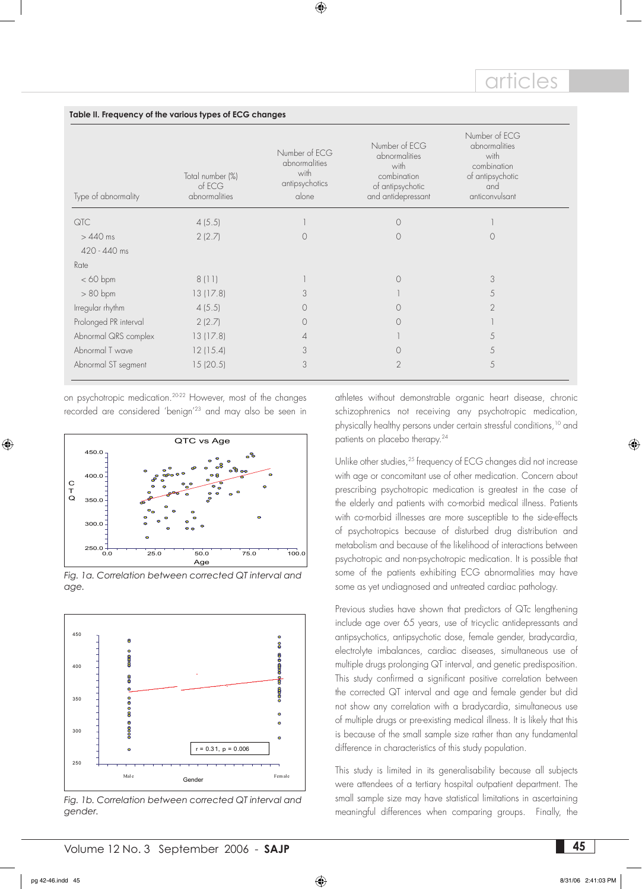| Type of abnormality   | Total number (%)<br>of ECG<br>abnormalities | Number of ECG<br>abnormalities<br>with<br>antipsychotics<br>alone | Number of ECG<br>abnormalities<br>with<br>combination<br>of antipsychotic<br>and antidepressant | Number of ECG<br>abnormalities<br>with<br>combination<br>of antipsychotic<br>and<br>anticonvulsant |  |
|-----------------------|---------------------------------------------|-------------------------------------------------------------------|-------------------------------------------------------------------------------------------------|----------------------------------------------------------------------------------------------------|--|
| QTC                   | 4(5.5)                                      |                                                                   | $\circ$                                                                                         |                                                                                                    |  |
| $>440$ ms             | 2(2.7)                                      | $\Omega$                                                          | $\Omega$                                                                                        | $\Omega$                                                                                           |  |
| 420 - 440 ms          |                                             |                                                                   |                                                                                                 |                                                                                                    |  |
| Rate                  |                                             |                                                                   |                                                                                                 |                                                                                                    |  |
| $< 60$ bpm            | 8(11)                                       |                                                                   | $\bigcap$                                                                                       | 3                                                                                                  |  |
| $> 80$ bpm            | 13(17.8)                                    | 3                                                                 |                                                                                                 | 5                                                                                                  |  |
| Irregular rhythm      | 4(5.5)                                      |                                                                   |                                                                                                 | $\overline{2}$                                                                                     |  |
| Prolonged PR interval | 2(2.7)                                      | $\bigcirc$                                                        | $\bigcap$                                                                                       |                                                                                                    |  |
| Abnormal QRS complex  | 13(17.8)                                    | 4                                                                 |                                                                                                 | 5                                                                                                  |  |
| Abnormal T wave       | 12(15.4)                                    | 3                                                                 | $\bigcirc$                                                                                      | 5                                                                                                  |  |
| Abnormal ST segment   | 15(20.5)                                    | 3                                                                 | $\overline{2}$                                                                                  | 5                                                                                                  |  |

#### **Table II. Frequency of the various types of ECG changes**

on psychotropic medication.<sup>20-22</sup> However, most of the changes recorded are considered 'benign'23 and may also be seen in



*Fig. 1a. Correlation between corrected QT interval and age.*



*Fig. 1b. Correlation between corrected QT interval and gender.*

athletes without demonstrable organic heart disease, chronic schizophrenics not receiving any psychotropic medication, physically healthy persons under certain stressful conditions,<sup>10</sup> and patients on placebo therapy.<sup>24</sup>

Unlike other studies,<sup>25</sup> frequency of ECG changes did not increase with age or concomitant use of other medication. Concern about prescribing psychotropic medication is greatest in the case of the elderly and patients with co-morbid medical illness. Patients with co-morbid illnesses are more susceptible to the side-effects of psychotropics because of disturbed drug distribution and metabolism and because of the likelihood of interactions between psychotropic and non-psychotropic medication. It is possible that some of the patients exhibiting ECG abnormalities may have some as yet undiagnosed and untreated cardiac pathology.

Previous studies have shown that predictors of QTc lengthening include age over 65 years, use of tricyclic antidepressants and antipsychotics, antipsychotic dose, female gender, bradycardia, electrolyte imbalances, cardiac diseases, simultaneous use of multiple drugs prolonging QT interval, and genetic predisposition. This study confirmed a significant positive correlation between the corrected QT interval and age and female gender but did not show any correlation with a bradycardia, simultaneous use of multiple drugs or pre-existing medical illness. It is likely that this is because of the small sample size rather than any fundamental difference in characteristics of this study population.

This study is limited in its generalisability because all subjects were attendees of a tertiary hospital outpatient department. The small sample size may have statistical limitations in ascertaining meaningful differences when comparing groups. Finally, the